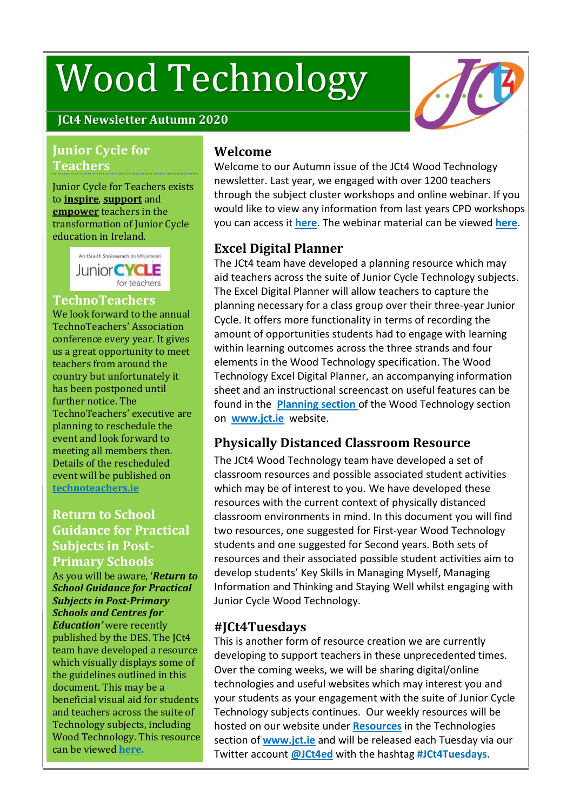# Wood Technology



## **JCt4 Newsletter Autumn 2020**

#### **Junior Cycle for Teachers**

#### Junior Cycle for Teachers exists to **inspire**, **support** and **empower** teachers in the transformation of Junior Cycle education in Ireland.

An tSraith Shóisearach do Mhúinteoirí **Junior CYCLE** for teachers

#### **TechnoTeachers**

We look forward to the annual TechnoTeachers' Association conference every year. It gives us a great opportunity to meet teachers from around the country but unfortunately it has been postponed until further notice. The TechnoTeachers' executive are planning to reschedule the event and look forward to meeting all members then. Details of the rescheduled event will be published on **[technoteachers.ie](https://www.technoteachers.ie/)**

## **Return to School Guidance for Practical Subjects in Post-Primary Schools**

As you will be aware, **'***Return to School Guidance for Practical Subjects in Post-Primary Schools and Centres for Education'* were recently published by the DES. The JCt4 team have developed a resource which visually displays some of the guidelines outlined in this document. This may be a beneficial visual aid for students and teachers across the suite of Technology subjects, including Wood Technology. This resource can be viewed **[here.](https://www.jct.ie/technologies/resources_wood_technology)**

#### **Welcome**

Welcome to our Autumn issue of the JCt4 Wood Technology newsletter. Last year, we engaged with over 1200 teachers through the subject cluster workshops and online webinar. If you would like to view any information from last years CPD workshops you can access it **[here](https://www.jct.ie/technologies/cpd_supports_wood_technology_cpd_workshops_2019_2020)**. The webinar material can be viewed **[here](https://www.jct.ie/technologies/cpd_supports_wood_technology_elective_workshops)**.

#### **Excel Digital Planner**

The JCt4 team have developed a planning resource which may aid teachers across the suite of Junior Cycle Technology subjects. The Excel Digital Planner will allow teachers to capture the planning necessary for a class group over their three-year Junior Cycle. It offers more functionality in terms of recording the amount of opportunities students had to engage with learning within learning outcomes across the three strands and four elements in the Wood Technology specification. The Wood Technology Excel Digital Planner, an accompanying information sheet and an instructional screencast on useful features can be found in the **[Planning](https://jct.ie/technologies/planning_wood_technology) section** of the Wood Technology section on **[www.jct.ie](https://juniorcycle.us9.list-manage.com/track/click?u=127fd131486ae7bd295cdba56&id=3a7002656e&e=4aefc8be0c)** website.

#### **Physically Distanced Classroom Resource**

The JCt4 Wood Technology team have developed a set of classroom resources and possible associated student activities which may be of interest to you. We have developed these resources with the current context of physically distanced classroom environments in mind. In this document you will find two resources, one suggested for First-year Wood Technology students and one suggested for Second years. Both sets of resources and their associated possible student activities aim to develop students' Key Skills in Managing Myself, Managing Information and Thinking and Staying Well whilst engaging with Junior Cycle Wood Technology.

#### **#JCt4Tuesdays**

This is another form of resource creation we are currently developing to support teachers in these unprecedented times. Over the coming weeks, we will be sharing digital/online technologies and useful websites which may interest you and your students as your engagement with the suite of Junior Cycle Technology subjects continues. Our weekly resources will be hosted on our website under **[Resources](https://jct.ie/technologies/resources)** in the Technologies section of **[www.jct.ie](https://jct.ie/home/home)** and will be released each Tuesday via our Twitter account **[@JCt4ed](https://twitter.com/JCt4ed)** with the hashtag **#JCt4Tuesdays**.